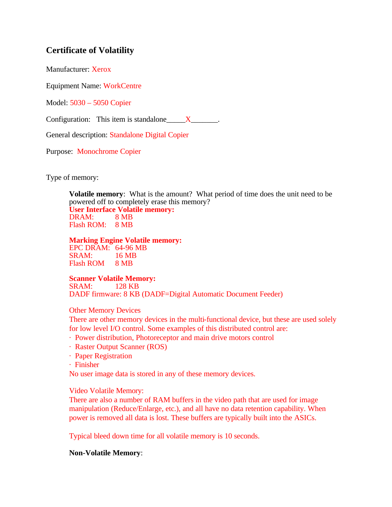# **Certificate of Volatility**

Manufacturer: Xerox

Equipment Name: WorkCentre

Model: 5030 – 5050 Copier

Configuration: This item is standalone  $X_{\text{max}}$ .

General description: Standalone Digital Copier

Purpose: Monochrome Copier

Type of memory:

**Volatile memory**: What is the amount? What period of time does the unit need to be powered off to completely erase this memory? **User Interface Volatile memory:** DRAM: 8 MB Flash ROM: 8 MB

**Marking Engine Volatile memory:** EPC DRAM: 64-96 MB

SRAM: 16 MB Flash ROM 8 MB

#### **Scanner Volatile Memory:**

SRAM: 128 KB DADF firmware: 8 KB (DADF=Digital Automatic Document Feeder)

Other Memory Devices

There are other memory devices in the multi-functional device, but these are used solely for low level I/O control. Some examples of this distributed control are:

- · Power distribution, Photoreceptor and main drive motors control
- · Raster Output Scanner (ROS)
- · Paper Registration
- · Finisher

No user image data is stored in any of these memory devices.

Video Volatile Memory:

There are also a number of RAM buffers in the video path that are used for image manipulation (Reduce/Enlarge, etc.), and all have no data retention capability. When power is removed all data is lost. These buffers are typically built into the ASICs.

Typical bleed down time for all volatile memory is 10 seconds.

#### **Non-Volatile Memory**: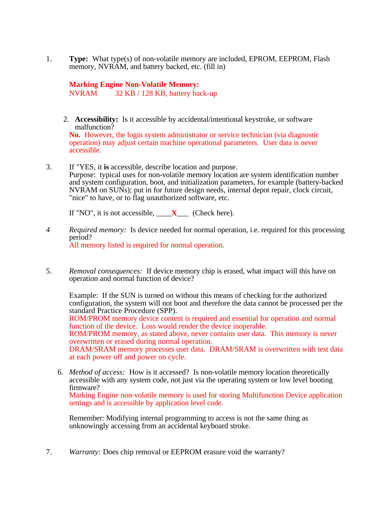1. **Type:** What type(s) of non-volatile memory are included, EPROM, EEPROM, Flash memory, NVRAM, and battery backed, etc. (fill in)

**Marking Engine Non-Volatile Memory:** NVRAM 32 KB / 128 KB, battery back-up

2. **Accessibility:** Is it accessible by accidental/intentional keystroke, or software malfunction?

**No.** However, the login system administrator or service technician (via diagnostic operation) may adjust certain machine operational parameters. User data is never accessible.

3. If "YES, it **is** accessible, describe location and purpose. Purpose: typical uses for non-volatile memory location are system identification number and system configuration, boot, and initialization parameters, for example (battery-backed NVRAM on SUNs); put in for future design needs, internal depot repair, clock circuit, "nice" to have, or to flag unauthorized software, etc.

If "NO", it is not accessible,  $\mathbf{X}$  (Check here).

- *4 Required memory:* Is device needed for normal operation, i.e. required for this processing period? All memory listed is required for normal operation.
- 5. *Removal consequences:* If device memory chip is erased, what impact will this have on operation and normal function of device?

Example: If the SUN is turned on without this means of checking for the authorized configuration, the system will not boot and therefore the data cannot be processed per the standard Practice Procedure (SPP).

ROM/PROM memory device content is required and essential for operation and normal function of the device. Loss would render the device inoperable.

ROM/PROM memory, as stated above, never contains user data. This memory is never overwritten or erased during normal operation.

DRAM/SRAM memory processes user data. DRAM/SRAM is overwritten with test data at each power off and power on cycle.

6. *Method of access:* How is it accessed? Is non-volatile memory location theoretically accessible with any system code, not just via the operating system or low level booting firmware?

Marking Engine non-volatile memory is used for storing Multifunction Device application settings and is accessible by application level code.

Remember: Modifying internal programming to access is not the same thing as unknowingly accessing from an accidental keyboard stroke.

7. *Warranty:* Does chip removal or EEPROM erasure void the warranty?